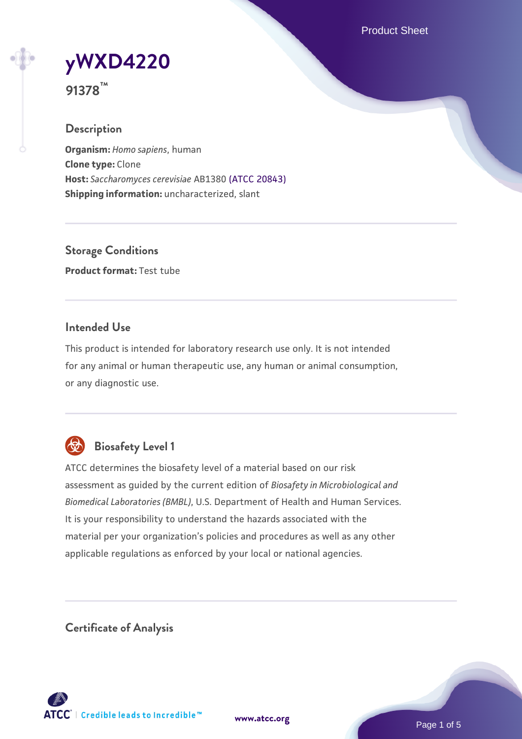Product Sheet



**91378™**

## **Description**

**Organism:** *Homo sapiens*, human **Clone type:** Clone **Host:** *Saccharomyces cerevisiae* AB1380 [\(ATCC 20843\)](https://www.atcc.org/products/20843) **Shipping information:** uncharacterized, slant

**Storage Conditions Product format:** Test tube

## **Intended Use**

This product is intended for laboratory research use only. It is not intended for any animal or human therapeutic use, any human or animal consumption, or any diagnostic use.



## **Biosafety Level 1**

ATCC determines the biosafety level of a material based on our risk assessment as guided by the current edition of *Biosafety in Microbiological and Biomedical Laboratories (BMBL)*, U.S. Department of Health and Human Services. It is your responsibility to understand the hazards associated with the material per your organization's policies and procedures as well as any other applicable regulations as enforced by your local or national agencies.

**Certificate of Analysis**

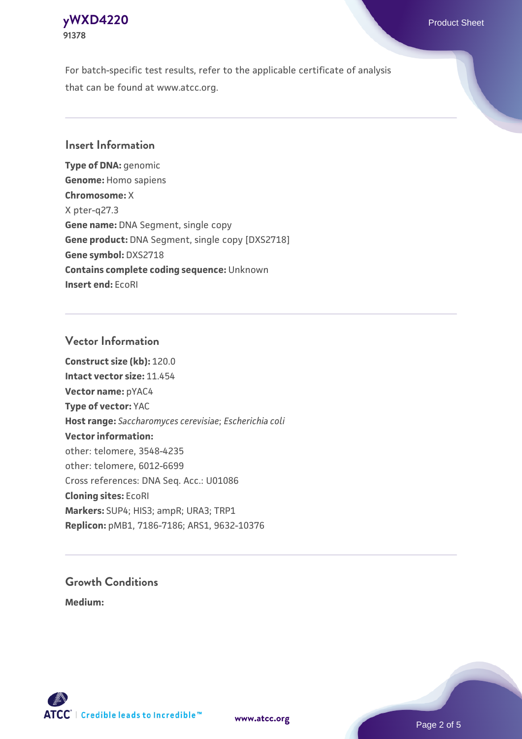## **[yWXD4220](https://www.atcc.org/products/91378)** Product Sheet **91378**

For batch-specific test results, refer to the applicable certificate of analysis that can be found at www.atcc.org.

## **Insert Information**

**Type of DNA:** genomic **Genome:** Homo sapiens **Chromosome:** X X pter-q27.3 **Gene name:** DNA Segment, single copy **Gene product:** DNA Segment, single copy [DXS2718] **Gene symbol:** DXS2718 **Contains complete coding sequence:** Unknown **Insert end:** EcoRI

## **Vector Information**

**Construct size (kb):** 120.0 **Intact vector size:** 11.454 **Vector name:** pYAC4 **Type of vector:** YAC **Host range:** *Saccharomyces cerevisiae*; *Escherichia coli* **Vector information:** other: telomere, 3548-4235 other: telomere, 6012-6699 Cross references: DNA Seq. Acc.: U01086 **Cloning sites:** EcoRI **Markers:** SUP4; HIS3; ampR; URA3; TRP1 **Replicon:** pMB1, 7186-7186; ARS1, 9632-10376

# **Growth Conditions**

**Medium:** 



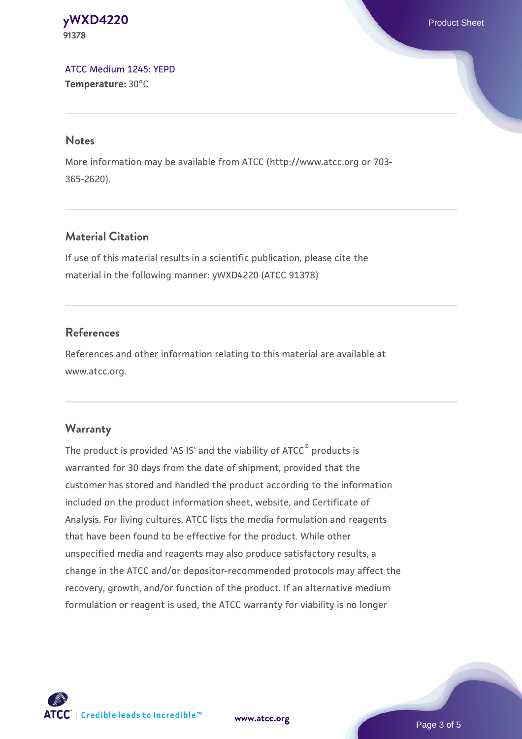#### **[yWXD4220](https://www.atcc.org/products/91378)** Product Sheet **91378**

[ATCC Medium 1245: YEPD](https://www.atcc.org/-/media/product-assets/documents/microbial-media-formulations/1/2/4/5/atcc-medium-1245.pdf?rev=705ca55d1b6f490a808a965d5c072196) **Temperature:** 30°C

#### **Notes**

More information may be available from ATCC (http://www.atcc.org or 703- 365-2620).

## **Material Citation**

If use of this material results in a scientific publication, please cite the material in the following manner: yWXD4220 (ATCC 91378)

## **References**

References and other information relating to this material are available at www.atcc.org.

## **Warranty**

The product is provided 'AS IS' and the viability of ATCC® products is warranted for 30 days from the date of shipment, provided that the customer has stored and handled the product according to the information included on the product information sheet, website, and Certificate of Analysis. For living cultures, ATCC lists the media formulation and reagents that have been found to be effective for the product. While other unspecified media and reagents may also produce satisfactory results, a change in the ATCC and/or depositor-recommended protocols may affect the recovery, growth, and/or function of the product. If an alternative medium formulation or reagent is used, the ATCC warranty for viability is no longer



**[www.atcc.org](http://www.atcc.org)**

Page 3 of 5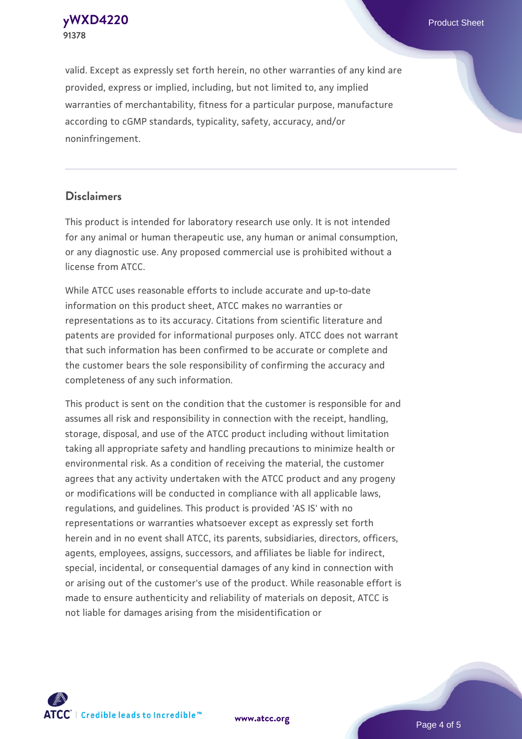**[yWXD4220](https://www.atcc.org/products/91378)** Product Sheet **91378**

valid. Except as expressly set forth herein, no other warranties of any kind are provided, express or implied, including, but not limited to, any implied warranties of merchantability, fitness for a particular purpose, manufacture according to cGMP standards, typicality, safety, accuracy, and/or noninfringement.

#### **Disclaimers**

This product is intended for laboratory research use only. It is not intended for any animal or human therapeutic use, any human or animal consumption, or any diagnostic use. Any proposed commercial use is prohibited without a license from ATCC.

While ATCC uses reasonable efforts to include accurate and up-to-date information on this product sheet, ATCC makes no warranties or representations as to its accuracy. Citations from scientific literature and patents are provided for informational purposes only. ATCC does not warrant that such information has been confirmed to be accurate or complete and the customer bears the sole responsibility of confirming the accuracy and completeness of any such information.

This product is sent on the condition that the customer is responsible for and assumes all risk and responsibility in connection with the receipt, handling, storage, disposal, and use of the ATCC product including without limitation taking all appropriate safety and handling precautions to minimize health or environmental risk. As a condition of receiving the material, the customer agrees that any activity undertaken with the ATCC product and any progeny or modifications will be conducted in compliance with all applicable laws, regulations, and guidelines. This product is provided 'AS IS' with no representations or warranties whatsoever except as expressly set forth herein and in no event shall ATCC, its parents, subsidiaries, directors, officers, agents, employees, assigns, successors, and affiliates be liable for indirect, special, incidental, or consequential damages of any kind in connection with or arising out of the customer's use of the product. While reasonable effort is made to ensure authenticity and reliability of materials on deposit, ATCC is not liable for damages arising from the misidentification or



**[www.atcc.org](http://www.atcc.org)**

Page 4 of 5